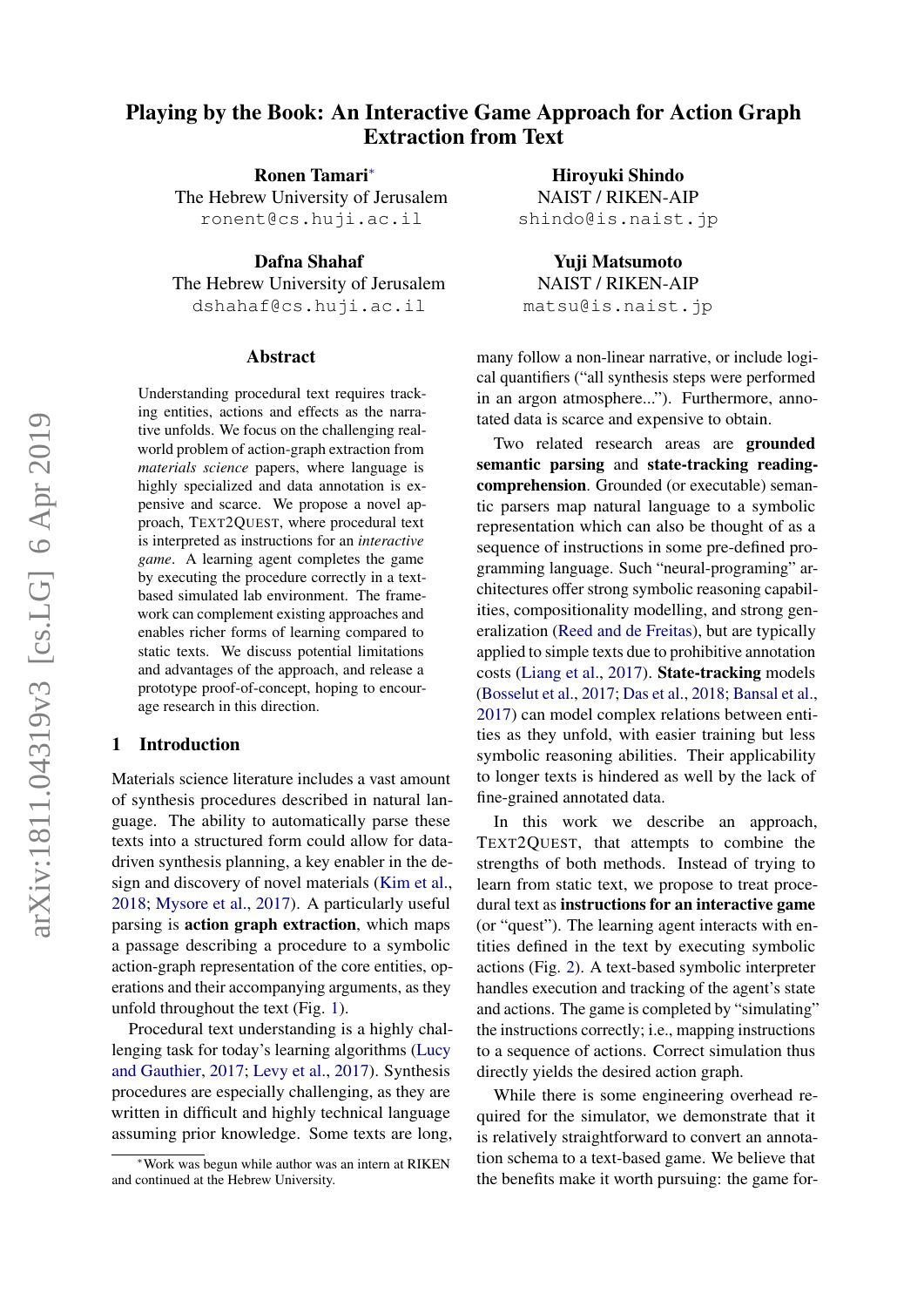# Playing by the Book: An Interactive Game Approach for Action Graph Extraction from Text

Ronen Tamari<sup>∗</sup> The Hebrew University of Jerusalem ronent@cs.huji.ac.il

Dafna Shahaf The Hebrew University of Jerusalem dshahaf@cs.huji.ac.il

#### Abstract

Understanding procedural text requires tracking entities, actions and effects as the narrative unfolds. We focus on the challenging realworld problem of action-graph extraction from *materials science* papers, where language is highly specialized and data annotation is expensive and scarce. We propose a novel approach, TEXT2QUEST, where procedural text is interpreted as instructions for an *interactive game*. A learning agent completes the game by executing the procedure correctly in a textbased simulated lab environment. The framework can complement existing approaches and enables richer forms of learning compared to static texts. We discuss potential limitations and advantages of the approach, and release a prototype proof-of-concept, hoping to encourage research in this direction.

## 1 Introduction

Materials science literature includes a vast amount of synthesis procedures described in natural language. The ability to automatically parse these texts into a structured form could allow for datadriven synthesis planning, a key enabler in the design and discovery of novel materials [\(Kim et al.,](#page-5-0) [2018;](#page-5-0) [Mysore et al.,](#page-5-1) [2017\)](#page-5-1). A particularly useful parsing is action graph extraction, which maps a passage describing a procedure to a symbolic action-graph representation of the core entities, operations and their accompanying arguments, as they unfold throughout the text (Fig. [1\)](#page-1-0).

Procedural text understanding is a highly challenging task for today's learning algorithms [\(Lucy](#page-5-2) [and Gauthier,](#page-5-2) [2017;](#page-5-2) [Levy et al.,](#page-5-3) [2017\)](#page-5-3). Synthesis procedures are especially challenging, as they are written in difficult and highly technical language assuming prior knowledge. Some texts are long,

Hiroyuki Shindo NAIST / RIKEN-AIP shindo@is.naist.jp

Yuji Matsumoto NAIST / RIKEN-AIP matsu@is.naist.jp

many follow a non-linear narrative, or include logical quantifiers ("all synthesis steps were performed in an argon atmosphere..."). Furthermore, annotated data is scarce and expensive to obtain.

Two related research areas are grounded semantic parsing and state-tracking readingcomprehension. Grounded (or executable) semantic parsers map natural language to a symbolic representation which can also be thought of as a sequence of instructions in some pre-defined programming language. Such "neural-programing" architectures offer strong symbolic reasoning capabilities, compositionality modelling, and strong generalization [\(Reed and de Freitas\)](#page-5-4), but are typically applied to simple texts due to prohibitive annotation costs [\(Liang et al.,](#page-5-5) [2017\)](#page-5-5). State-tracking models [\(Bosselut et al.,](#page-5-6) [2017;](#page-5-6) [Das et al.,](#page-5-7) [2018;](#page-5-7) [Bansal et al.,](#page-5-8) [2017\)](#page-5-8) can model complex relations between entities as they unfold, with easier training but less symbolic reasoning abilities. Their applicability to longer texts is hindered as well by the lack of fine-grained annotated data.

In this work we describe an approach, TEXT2QUEST, that attempts to combine the strengths of both methods. Instead of trying to learn from static text, we propose to treat procedural text as instructions for an interactive game (or "quest"). The learning agent interacts with entities defined in the text by executing symbolic actions (Fig. [2\)](#page-1-1). A text-based symbolic interpreter handles execution and tracking of the agent's state and actions. The game is completed by "simulating" the instructions correctly; i.e., mapping instructions to a sequence of actions. Correct simulation thus directly yields the desired action graph.

While there is some engineering overhead required for the simulator, we demonstrate that it is relatively straightforward to convert an annotation schema to a text-based game. We believe that the benefits make it worth pursuing: the game for-

<sup>∗</sup>Work was begun while author was an intern at RIKEN and continued at the Hebrew University.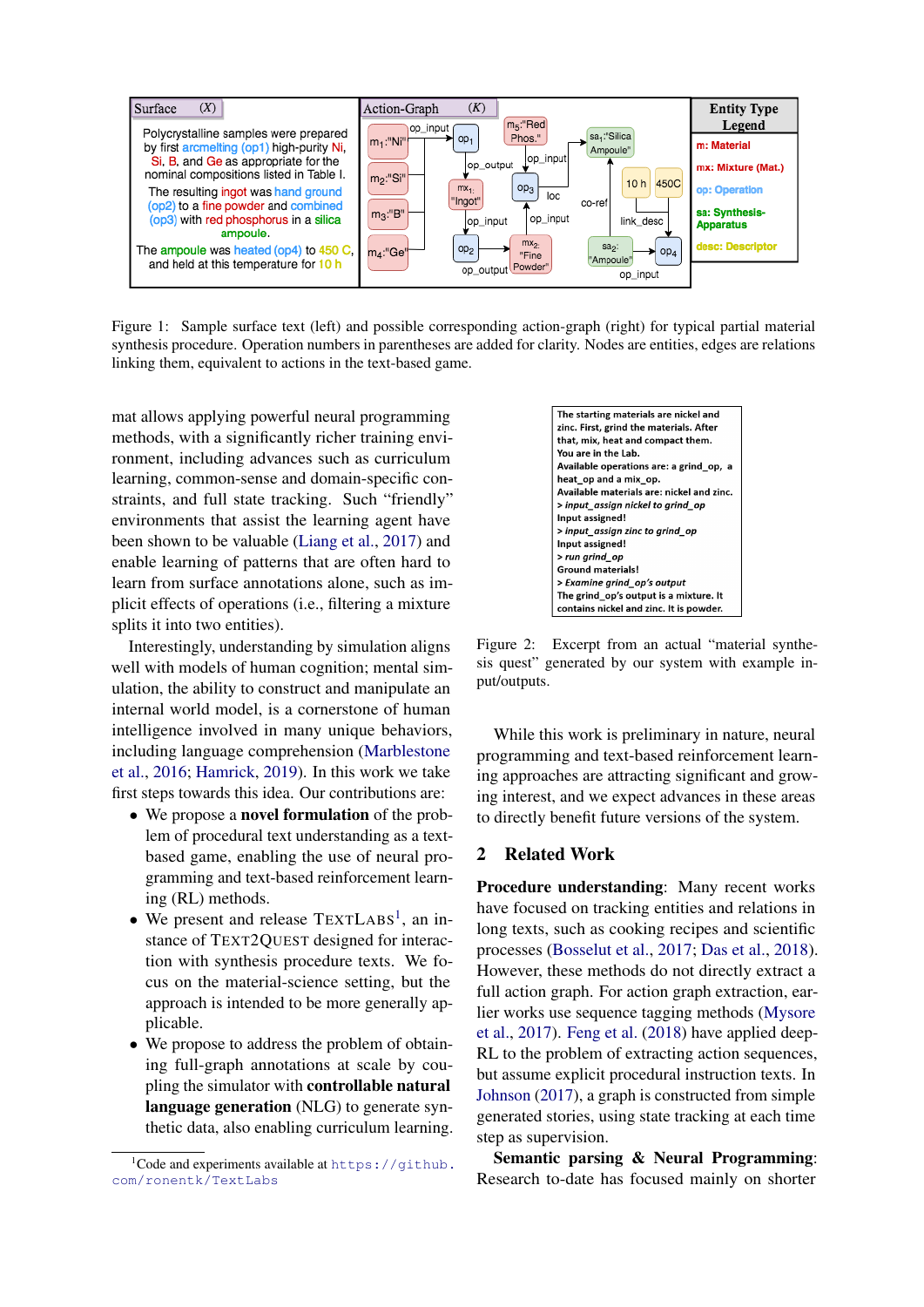<span id="page-1-0"></span>

Figure 1: Sample surface text (left) and possible corresponding action-graph (right) for typical partial material synthesis procedure. Operation numbers in parentheses are added for clarity. Nodes are entities, edges are relations linking them, equivalent to actions in the text-based game.

mat allows applying powerful neural programming methods, with a significantly richer training environment, including advances such as curriculum learning, common-sense and domain-specific constraints, and full state tracking. Such "friendly" environments that assist the learning agent have been shown to be valuable [\(Liang et al.,](#page-5-5) [2017\)](#page-5-5) and enable learning of patterns that are often hard to learn from surface annotations alone, such as implicit effects of operations (i.e., filtering a mixture splits it into two entities).

Interestingly, understanding by simulation aligns well with models of human cognition; mental simulation, the ability to construct and manipulate an internal world model, is a cornerstone of human intelligence involved in many unique behaviors, including language comprehension [\(Marblestone](#page-5-9) [et al.,](#page-5-9) [2016;](#page-5-9) [Hamrick,](#page-5-10) [2019\)](#page-5-10). In this work we take first steps towards this idea. Our contributions are:

- We propose a **novel formulation** of the problem of procedural text understanding as a textbased game, enabling the use of neural programming and text-based reinforcement learning (RL) methods.
- We present and release TEXTLABS<sup>[1](#page-1-2)</sup>, an instance of TEXT2QUEST designed for interaction with synthesis procedure texts. We focus on the material-science setting, but the approach is intended to be more generally applicable.
- We propose to address the problem of obtaining full-graph annotations at scale by coupling the simulator with controllable natural language generation (NLG) to generate synthetic data, also enabling curriculum learning.

<span id="page-1-1"></span>The starting materials are nickel and zinc. First, grind the materials. After that, mix, heat and compact them. You are in the Lab. Available operations are: a grind op. a heat\_op and a mix\_op. Available materials are: nickel and zinc. > input\_assign nickel to grind\_op Input assigned! > input assign zinc to grind op Input assigned! > run grind\_op Ground materials! > Examine grind\_op's output The grind\_op's output is a mixture. It contains nickel and zinc. It is powder.

Figure 2: Excerpt from an actual "material synthesis quest" generated by our system with example input/outputs.

While this work is preliminary in nature, neural programming and text-based reinforcement learning approaches are attracting significant and growing interest, and we expect advances in these areas to directly benefit future versions of the system.

#### 2 Related Work

Procedure understanding: Many recent works have focused on tracking entities and relations in long texts, such as cooking recipes and scientific processes [\(Bosselut et al.,](#page-5-6) [2017;](#page-5-6) [Das et al.,](#page-5-7) [2018\)](#page-5-7). However, these methods do not directly extract a full action graph. For action graph extraction, earlier works use sequence tagging methods [\(Mysore](#page-5-1) [et al.,](#page-5-1) [2017\)](#page-5-1). [Feng et al.](#page-5-11) [\(2018\)](#page-5-11) have applied deep-RL to the problem of extracting action sequences. but assume explicit procedural instruction texts. In [Johnson](#page-5-12) [\(2017\)](#page-5-12), a graph is constructed from simple generated stories, using state tracking at each time step as supervision.

Semantic parsing & Neural Programming: Research to-date has focused mainly on shorter

<span id="page-1-2"></span> $1$ Code and experiments available at [https://github.](https://github.com/ronentk/TextLabs) [com/ronentk/TextLabs](https://github.com/ronentk/TextLabs)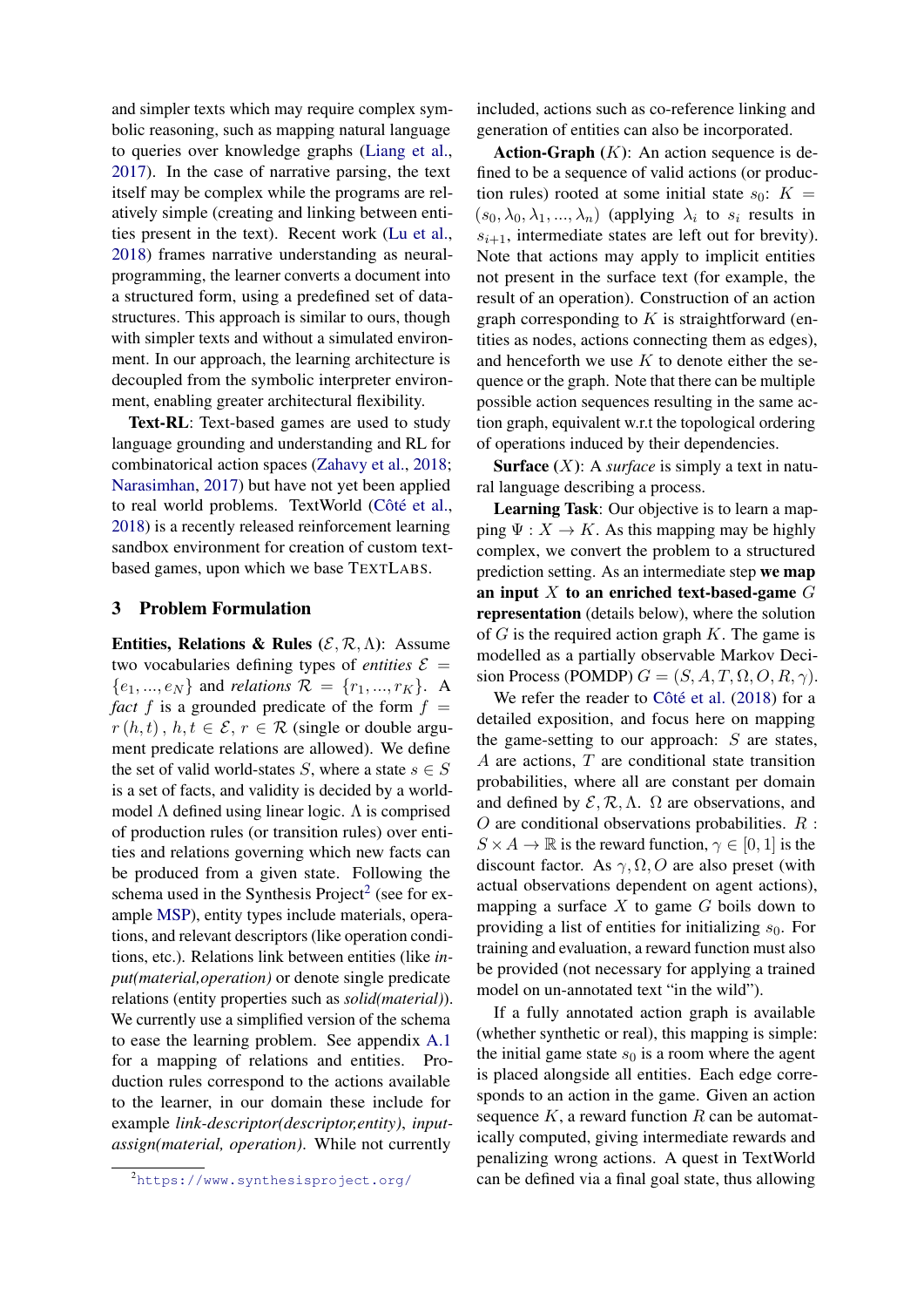and simpler texts which may require complex symbolic reasoning, such as mapping natural language to queries over knowledge graphs [\(Liang et al.,](#page-5-5) [2017\)](#page-5-5). In the case of narrative parsing, the text itself may be complex while the programs are relatively simple (creating and linking between entities present in the text). Recent work [\(Lu et al.,](#page-5-13) [2018\)](#page-5-13) frames narrative understanding as neuralprogramming, the learner converts a document into a structured form, using a predefined set of datastructures. This approach is similar to ours, though with simpler texts and without a simulated environment. In our approach, the learning architecture is decoupled from the symbolic interpreter environment, enabling greater architectural flexibility.

Text-RL: Text-based games are used to study language grounding and understanding and RL for combinatorical action spaces [\(Zahavy et al.,](#page-5-14) [2018;](#page-5-14) [Narasimhan,](#page-5-15) [2017\)](#page-5-15) but have not yet been applied to real world problems. TextWorld (Côté et al., [2018\)](#page-5-16) is a recently released reinforcement learning sandbox environment for creation of custom textbased games, upon which we base TEXTLABS.

## 3 Problem Formulation

Entities, Relations & Rules ( $\mathcal{E}, \mathcal{R}, \Lambda$ ): Assume two vocabularies defining types of *entities*  $\mathcal{E}$  =  ${e_1, ..., e_N}$  and *relations*  $\mathcal{R} = {r_1, ..., r_K}$ . A *fact* f is a grounded predicate of the form  $f =$  $r(h, t)$ ,  $h, t \in \mathcal{E}$ ,  $r \in \mathcal{R}$  (single or double argument predicate relations are allowed). We define the set of valid world-states S, where a state  $s \in S$ is a set of facts, and validity is decided by a worldmodel  $\Lambda$  defined using linear logic.  $\Lambda$  is comprised of production rules (or transition rules) over entities and relations governing which new facts can be produced from a given state. Following the schema used in the Synthesis Project<sup>[2](#page-2-0)</sup> (see for example [MSP\)](#page-5-17), entity types include materials, operations, and relevant descriptors (like operation conditions, etc.). Relations link between entities (like *input(material,operation)* or denote single predicate relations (entity properties such as *solid(material)*). We currently use a simplified version of the schema to ease the learning problem. See appendix [A.1](#page-6-0) for a mapping of relations and entities. Production rules correspond to the actions available to the learner, in our domain these include for example *link-descriptor(descriptor,entity)*, *inputassign(material, operation)*. While not currently

included, actions such as co-reference linking and generation of entities can also be incorporated.

Action-Graph  $(K)$ : An action sequence is defined to be a sequence of valid actions (or production rules) rooted at some initial state  $s_0$ :  $K =$  $(s_0, \lambda_0, \lambda_1, ..., \lambda_n)$  (applying  $\lambda_i$  to  $s_i$  results in  $s_{i+1}$ , intermediate states are left out for brevity). Note that actions may apply to implicit entities not present in the surface text (for example, the result of an operation). Construction of an action graph corresponding to  $K$  is straightforward (entities as nodes, actions connecting them as edges), and henceforth we use  $K$  to denote either the sequence or the graph. Note that there can be multiple possible action sequences resulting in the same action graph, equivalent w.r.t the topological ordering of operations induced by their dependencies.

**Surface**  $(X)$ : A *surface* is simply a text in natural language describing a process.

Learning Task: Our objective is to learn a mapping  $\Psi: X \to K$ . As this mapping may be highly complex, we convert the problem to a structured prediction setting. As an intermediate step we map an input  $X$  to an enriched text-based-game  $G$ representation (details below), where the solution of  $G$  is the required action graph  $K$ . The game is modelled as a partially observable Markov Decision Process (POMDP)  $G = (S, A, T, \Omega, O, R, \gamma)$ .

We refer the reader to Côté et al.  $(2018)$  for a detailed exposition, and focus here on mapping the game-setting to our approach: S are states, A are actions, T are conditional state transition probabilities, where all are constant per domain and defined by  $\mathcal{E}, \mathcal{R}, \Lambda$ .  $\Omega$  are observations, and  $O$  are conditional observations probabilities.  $R$ :  $S \times A \rightarrow \mathbb{R}$  is the reward function,  $\gamma \in [0, 1]$  is the discount factor. As  $\gamma$ ,  $\Omega$ ,  $\Omega$  are also preset (with actual observations dependent on agent actions), mapping a surface  $X$  to game  $G$  boils down to providing a list of entities for initializing  $s_0$ . For training and evaluation, a reward function must also be provided (not necessary for applying a trained model on un-annotated text "in the wild").

If a fully annotated action graph is available (whether synthetic or real), this mapping is simple: the initial game state  $s_0$  is a room where the agent is placed alongside all entities. Each edge corresponds to an action in the game. Given an action sequence  $K$ , a reward function  $R$  can be automatically computed, giving intermediate rewards and penalizing wrong actions. A quest in TextWorld can be defined via a final goal state, thus allowing

<span id="page-2-0"></span><sup>2</sup><https://www.synthesisproject.org/>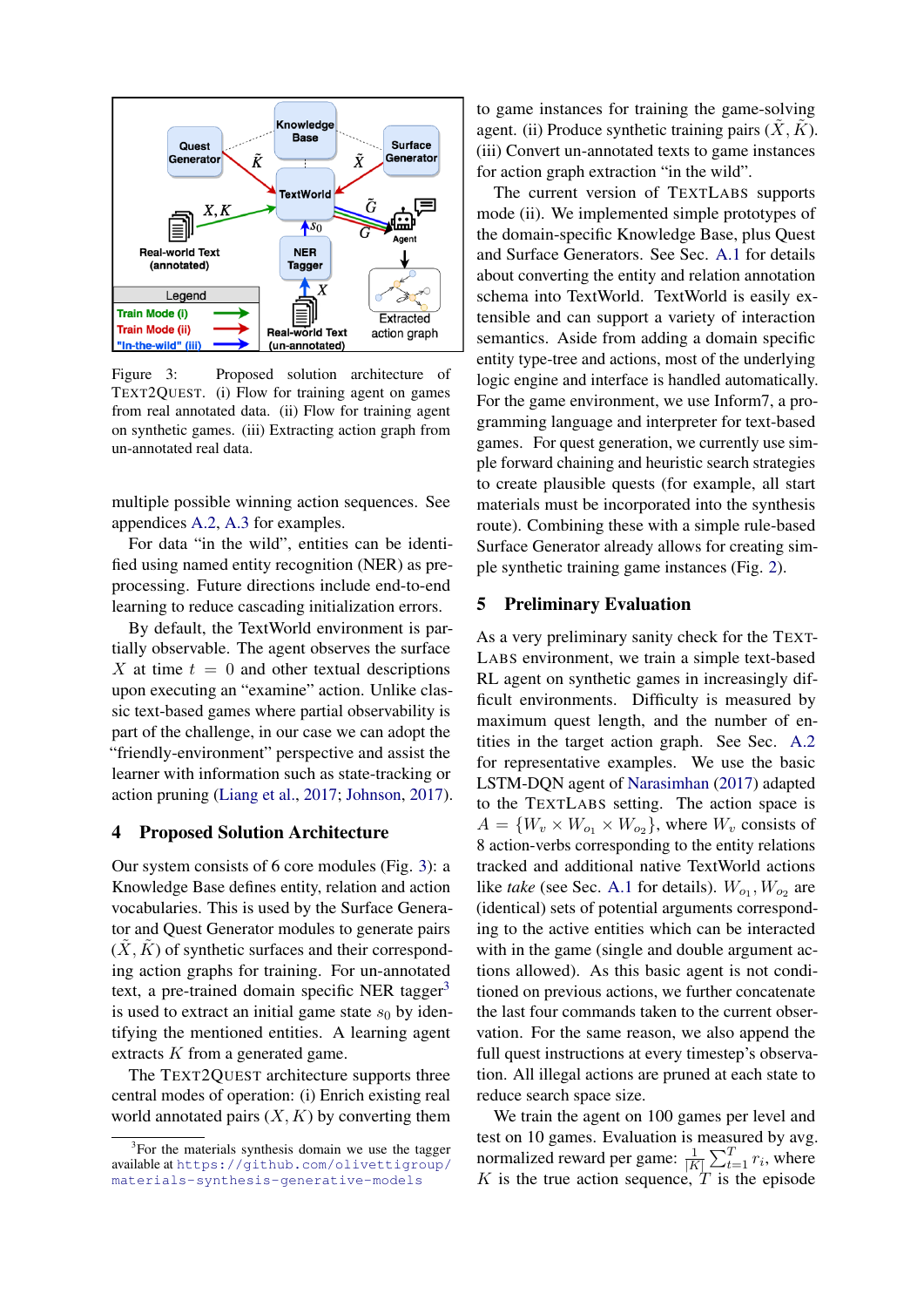<span id="page-3-0"></span>

Figure 3: Proposed solution architecture of TEXT2QUEST. (i) Flow for training agent on games from real annotated data. (ii) Flow for training agent on synthetic games. (iii) Extracting action graph from un-annotated real data.

multiple possible winning action sequences. See appendices [A.2,](#page-6-1) [A.3](#page-6-2) for examples.

For data "in the wild", entities can be identified using named entity recognition (NER) as preprocessing. Future directions include end-to-end learning to reduce cascading initialization errors.

By default, the TextWorld environment is partially observable. The agent observes the surface X at time  $t = 0$  and other textual descriptions upon executing an "examine" action. Unlike classic text-based games where partial observability is part of the challenge, in our case we can adopt the "friendly-environment" perspective and assist the learner with information such as state-tracking or action pruning [\(Liang et al.,](#page-5-5) [2017;](#page-5-5) [Johnson,](#page-5-12) [2017\)](#page-5-12).

#### 4 Proposed Solution Architecture

Our system consists of 6 core modules (Fig. [3\)](#page-3-0): a Knowledge Base defines entity, relation and action vocabularies. This is used by the Surface Generator and Quest Generator modules to generate pairs  $(X, K)$  of synthetic surfaces and their corresponding action graphs for training. For un-annotated text, a pre-trained domain specific NER tagger<sup>[3](#page-3-1)</sup> is used to extract an initial game state  $s_0$  by identifying the mentioned entities. A learning agent extracts K from a generated game.

The TEXT2QUEST architecture supports three central modes of operation: (i) Enrich existing real world annotated pairs  $(X, K)$  by converting them

to game instances for training the game-solving agent. (ii) Produce synthetic training pairs  $(X, \tilde{K})$ . (iii) Convert un-annotated texts to game instances for action graph extraction "in the wild".

The current version of TEXTLABS supports mode (ii). We implemented simple prototypes of the domain-specific Knowledge Base, plus Quest and Surface Generators. See Sec. [A.1](#page-6-0) for details about converting the entity and relation annotation schema into TextWorld. TextWorld is easily extensible and can support a variety of interaction semantics. Aside from adding a domain specific entity type-tree and actions, most of the underlying logic engine and interface is handled automatically. For the game environment, we use Inform7, a programming language and interpreter for text-based games. For quest generation, we currently use simple forward chaining and heuristic search strategies to create plausible quests (for example, all start materials must be incorporated into the synthesis route). Combining these with a simple rule-based Surface Generator already allows for creating simple synthetic training game instances (Fig. [2\)](#page-1-1).

## <span id="page-3-2"></span>5 Preliminary Evaluation

As a very preliminary sanity check for the TEXT-LABS environment, we train a simple text-based RL agent on synthetic games in increasingly difficult environments. Difficulty is measured by maximum quest length, and the number of entities in the target action graph. See Sec. [A.2](#page-6-1) for representative examples. We use the basic LSTM-DQN agent of [Narasimhan](#page-5-15) [\(2017\)](#page-5-15) adapted to the TEXTLABS setting. The action space is  $A = \{W_v \times W_{o_1} \times W_{o_2}\}\,$ , where  $W_v$  consists of 8 action-verbs corresponding to the entity relations tracked and additional native TextWorld actions like *take* (see Sec. [A.1](#page-6-0) for details).  $W_{o_1}, W_{o_2}$  are (identical) sets of potential arguments corresponding to the active entities which can be interacted with in the game (single and double argument actions allowed). As this basic agent is not conditioned on previous actions, we further concatenate the last four commands taken to the current observation. For the same reason, we also append the full quest instructions at every timestep's observation. All illegal actions are pruned at each state to reduce search space size.

We train the agent on 100 games per level and test on 10 games. Evaluation is measured by avg. normalized reward per game:  $\frac{1}{|K|} \sum_{t=1}^{T} r_i$ , where  $K$  is the true action sequence,  $T$  is the episode

<span id="page-3-1"></span><sup>&</sup>lt;sup>3</sup>For the materials synthesis domain we use the tagger available at [https://github.com/olivettigroup/](https://github.com/olivettigroup/materials-synthesis-generative-models) [materials-synthesis-generative-models](https://github.com/olivettigroup/materials-synthesis-generative-models)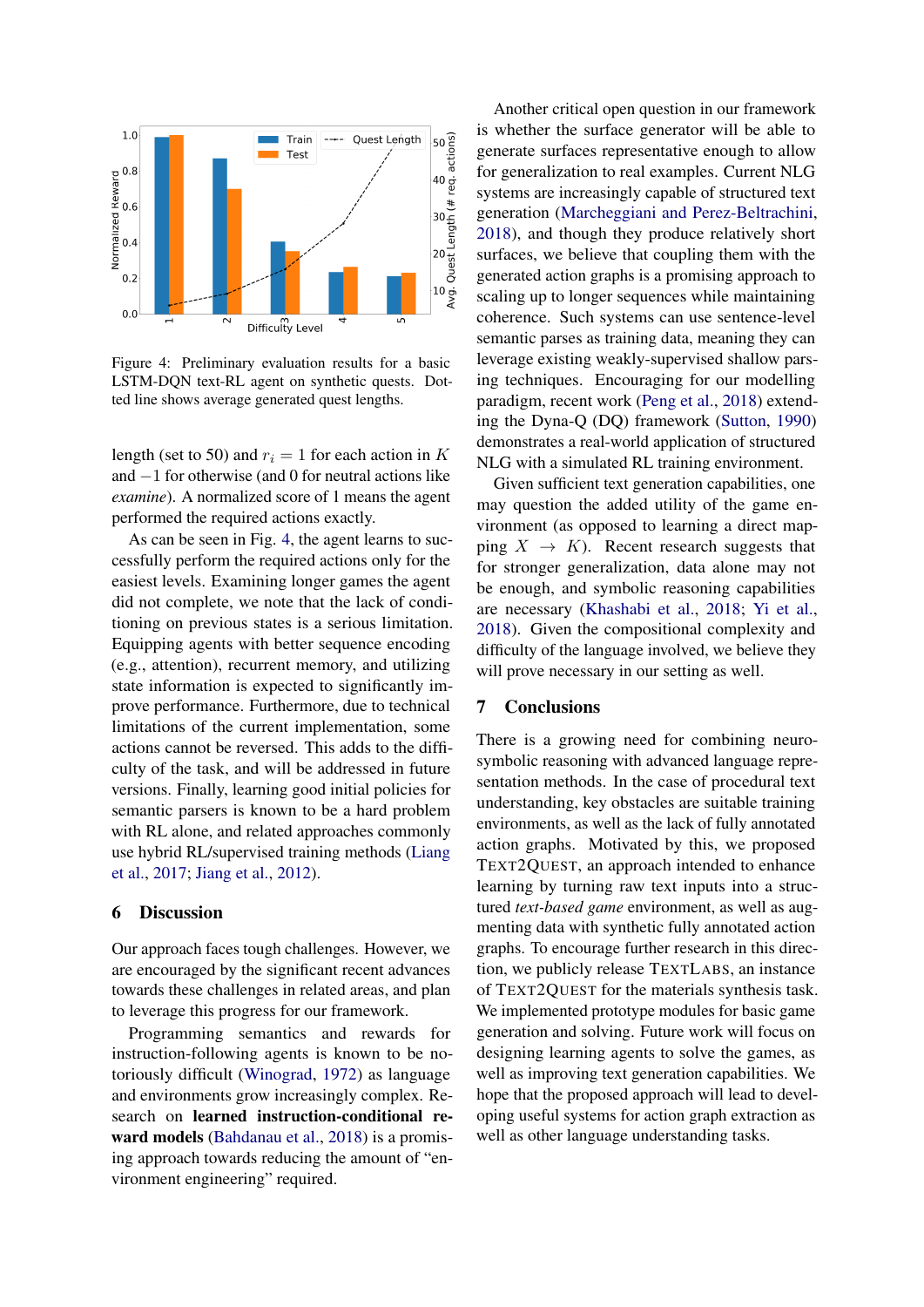<span id="page-4-0"></span>

Figure 4: Preliminary evaluation results for a basic LSTM-DQN text-RL agent on synthetic quests. Dotted line shows average generated quest lengths.

length (set to 50) and  $r_i = 1$  for each action in K and −1 for otherwise (and 0 for neutral actions like *examine*). A normalized score of 1 means the agent performed the required actions exactly.

As can be seen in Fig. [4,](#page-4-0) the agent learns to successfully perform the required actions only for the easiest levels. Examining longer games the agent did not complete, we note that the lack of conditioning on previous states is a serious limitation. Equipping agents with better sequence encoding (e.g., attention), recurrent memory, and utilizing state information is expected to significantly improve performance. Furthermore, due to technical limitations of the current implementation, some actions cannot be reversed. This adds to the difficulty of the task, and will be addressed in future versions. Finally, learning good initial policies for semantic parsers is known to be a hard problem with RL alone, and related approaches commonly use hybrid RL/supervised training methods [\(Liang](#page-5-5) [et al.,](#page-5-5) [2017;](#page-5-5) [Jiang et al.,](#page-5-18) [2012\)](#page-5-18).

#### 6 Discussion

Our approach faces tough challenges. However, we are encouraged by the significant recent advances towards these challenges in related areas, and plan to leverage this progress for our framework.

Programming semantics and rewards for instruction-following agents is known to be notoriously difficult [\(Winograd,](#page-5-19) [1972\)](#page-5-19) as language and environments grow increasingly complex. Research on learned instruction-conditional reward models [\(Bahdanau et al.,](#page-5-20) [2018\)](#page-5-20) is a promising approach towards reducing the amount of "environment engineering" required.

Another critical open question in our framework is whether the surface generator will be able to generate surfaces representative enough to allow for generalization to real examples. Current NLG systems are increasingly capable of structured text generation [\(Marcheggiani and Perez-Beltrachini,](#page-5-21) [2018\)](#page-5-21), and though they produce relatively short surfaces, we believe that coupling them with the generated action graphs is a promising approach to scaling up to longer sequences while maintaining coherence. Such systems can use sentence-level semantic parses as training data, meaning they can leverage existing weakly-supervised shallow parsing techniques. Encouraging for our modelling paradigm, recent work [\(Peng et al.,](#page-5-22) [2018\)](#page-5-22) extending the Dyna-Q (DQ) framework [\(Sutton,](#page-5-23) [1990\)](#page-5-23) demonstrates a real-world application of structured NLG with a simulated RL training environment.

Given sufficient text generation capabilities, one may question the added utility of the game environment (as opposed to learning a direct mapping  $X \to K$ ). Recent research suggests that for stronger generalization, data alone may not be enough, and symbolic reasoning capabilities are necessary [\(Khashabi et al.,](#page-5-24) [2018;](#page-5-24) [Yi et al.,](#page-5-25) [2018\)](#page-5-25). Given the compositional complexity and difficulty of the language involved, we believe they will prove necessary in our setting as well.

## 7 Conclusions

There is a growing need for combining neurosymbolic reasoning with advanced language representation methods. In the case of procedural text understanding, key obstacles are suitable training environments, as well as the lack of fully annotated action graphs. Motivated by this, we proposed TEXT2QUEST, an approach intended to enhance learning by turning raw text inputs into a structured *text-based game* environment, as well as augmenting data with synthetic fully annotated action graphs. To encourage further research in this direction, we publicly release TEXTLABS, an instance of TEXT2QUEST for the materials synthesis task. We implemented prototype modules for basic game generation and solving. Future work will focus on designing learning agents to solve the games, as well as improving text generation capabilities. We hope that the proposed approach will lead to developing useful systems for action graph extraction as well as other language understanding tasks.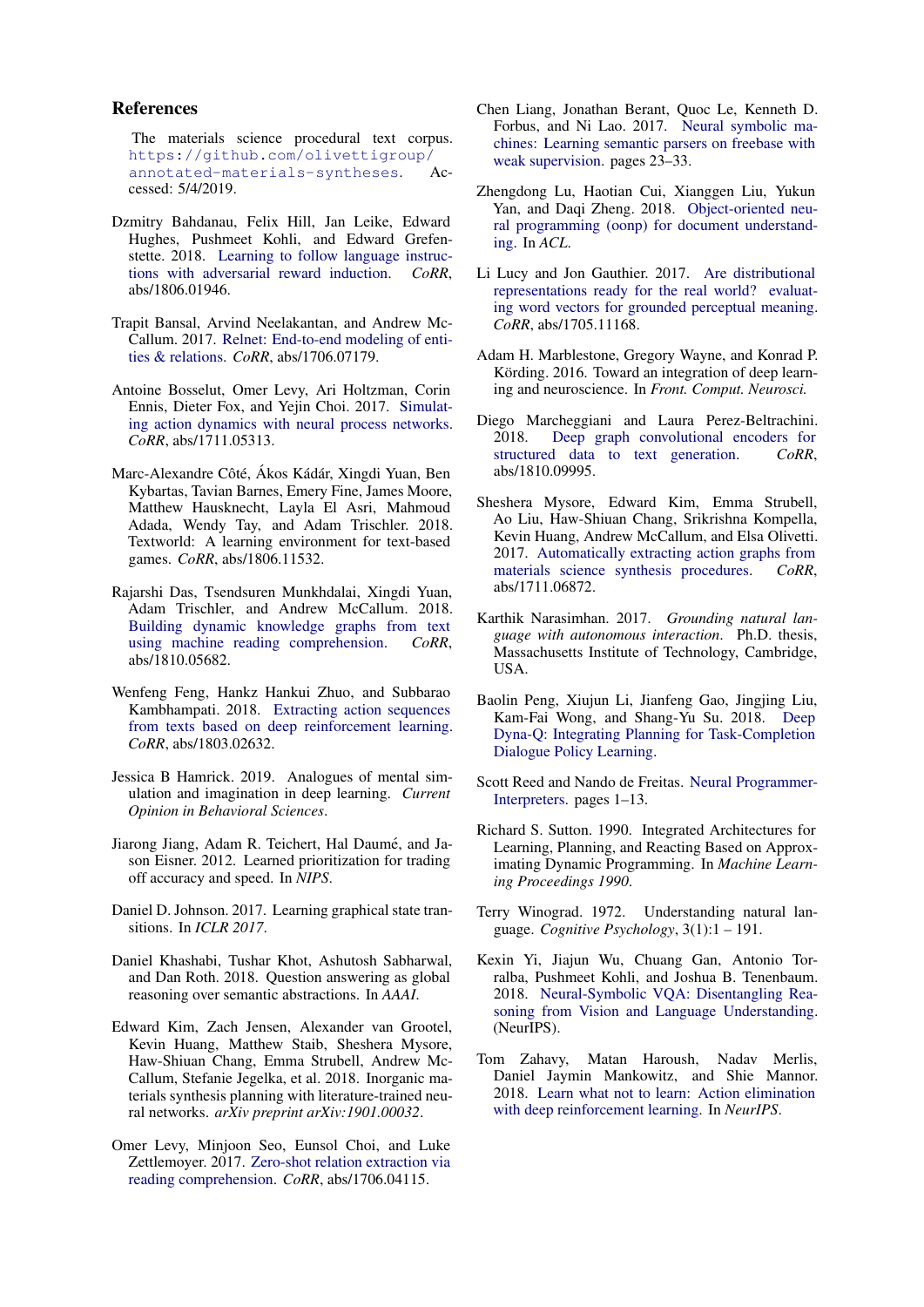#### References

<span id="page-5-17"></span>The materials science procedural text corpus. [https://github.com/olivettigroup/](https://github.com/olivettigroup/annotated-materials-syntheses) [annotated-materials-syntheses](https://github.com/olivettigroup/annotated-materials-syntheses). Accessed: 5/4/2019.

- <span id="page-5-20"></span>Dzmitry Bahdanau, Felix Hill, Jan Leike, Edward Hughes, Pushmeet Kohli, and Edward Grefenstette. 2018. [Learning to follow language instruc](http://arxiv.org/abs/1806.01946)[tions with adversarial reward induction.](http://arxiv.org/abs/1806.01946) *CoRR*, abs/1806.01946.
- <span id="page-5-8"></span>Trapit Bansal, Arvind Neelakantan, and Andrew Mc-Callum. 2017. [Relnet: End-to-end modeling of enti](http://arxiv.org/abs/1706.07179)[ties & relations.](http://arxiv.org/abs/1706.07179) *CoRR*, abs/1706.07179.
- <span id="page-5-6"></span>Antoine Bosselut, Omer Levy, Ari Holtzman, Corin Ennis, Dieter Fox, and Yejin Choi. 2017. [Simulat](http://arxiv.org/abs/1711.05313)[ing action dynamics with neural process networks.](http://arxiv.org/abs/1711.05313) *CoRR*, abs/1711.05313.
- <span id="page-5-16"></span>Marc-Alexandre Côté, Ákos Kádár, Xingdi Yuan, Ben Kybartas, Tavian Barnes, Emery Fine, James Moore, Matthew Hausknecht, Layla El Asri, Mahmoud Adada, Wendy Tay, and Adam Trischler. 2018. Textworld: A learning environment for text-based games. *CoRR*, abs/1806.11532.
- <span id="page-5-7"></span>Rajarshi Das, Tsendsuren Munkhdalai, Xingdi Yuan, Adam Trischler, and Andrew McCallum. 2018. [Building dynamic knowledge graphs from text](http://arxiv.org/abs/1810.05682) [using machine reading comprehension.](http://arxiv.org/abs/1810.05682) *CoRR*, abs/1810.05682.
- <span id="page-5-11"></span>Wenfeng Feng, Hankz Hankui Zhuo, and Subbarao Kambhampati. 2018. [Extracting action sequences](http://arxiv.org/abs/1803.02632) [from texts based on deep reinforcement learning.](http://arxiv.org/abs/1803.02632) *CoRR*, abs/1803.02632.
- <span id="page-5-10"></span>Jessica B Hamrick. 2019. Analogues of mental simulation and imagination in deep learning. *Current Opinion in Behavioral Sciences*.
- <span id="page-5-18"></span>Jiarong Jiang, Adam R. Teichert, Hal Daumé, and Jason Eisner. 2012. Learned prioritization for trading off accuracy and speed. In *NIPS*.
- <span id="page-5-12"></span>Daniel D. Johnson. 2017. Learning graphical state transitions. In *ICLR 2017*.
- <span id="page-5-24"></span>Daniel Khashabi, Tushar Khot, Ashutosh Sabharwal, and Dan Roth. 2018. Question answering as global reasoning over semantic abstractions. In *AAAI*.
- <span id="page-5-0"></span>Edward Kim, Zach Jensen, Alexander van Grootel, Kevin Huang, Matthew Staib, Sheshera Mysore, Haw-Shiuan Chang, Emma Strubell, Andrew Mc-Callum, Stefanie Jegelka, et al. 2018. Inorganic materials synthesis planning with literature-trained neural networks. *arXiv preprint arXiv:1901.00032*.
- <span id="page-5-3"></span>Omer Levy, Minjoon Seo, Eunsol Choi, and Luke Zettlemoyer. 2017. [Zero-shot relation extraction via](http://arxiv.org/abs/1706.04115) [reading comprehension.](http://arxiv.org/abs/1706.04115) *CoRR*, abs/1706.04115.
- <span id="page-5-5"></span>Chen Liang, Jonathan Berant, Quoc Le, Kenneth D. Forbus, and Ni Lao. 2017. [Neural symbolic ma](https://doi.org/10.18653/v1/P17-1003)[chines: Learning semantic parsers on freebase with](https://doi.org/10.18653/v1/P17-1003) [weak supervision.](https://doi.org/10.18653/v1/P17-1003) pages 23–33.
- <span id="page-5-13"></span>Zhengdong Lu, Haotian Cui, Xianggen Liu, Yukun Yan, and Daqi Zheng. 2018. [Object-oriented neu](http://arxiv.org/abs/1709.08853)[ral programming \(oonp\) for document understand](http://arxiv.org/abs/1709.08853)[ing.](http://arxiv.org/abs/1709.08853) In *ACL*.
- <span id="page-5-2"></span>Li Lucy and Jon Gauthier. 2017. [Are distributional](http://arxiv.org/abs/1705.11168) [representations ready for the real world? evaluat](http://arxiv.org/abs/1705.11168)[ing word vectors for grounded perceptual meaning.](http://arxiv.org/abs/1705.11168) *CoRR*, abs/1705.11168.
- <span id="page-5-9"></span>Adam H. Marblestone, Gregory Wayne, and Konrad P. Körding. 2016. Toward an integration of deep learning and neuroscience. In *Front. Comput. Neurosci.*
- <span id="page-5-21"></span>Diego Marcheggiani and Laura Perez-Beltrachini. 2018. [Deep graph convolutional encoders for](http://arxiv.org/abs/1810.09995) [structured data to text generation.](http://arxiv.org/abs/1810.09995) *CoRR*, abs/1810.09995.
- <span id="page-5-1"></span>Sheshera Mysore, Edward Kim, Emma Strubell, Ao Liu, Haw-Shiuan Chang, Srikrishna Kompella, Kevin Huang, Andrew McCallum, and Elsa Olivetti. 2017. [Automatically extracting action graphs from](http://arxiv.org/abs/1711.06872) [materials science synthesis procedures.](http://arxiv.org/abs/1711.06872) *CoRR*, abs/1711.06872.
- <span id="page-5-15"></span>Karthik Narasimhan. 2017. *Grounding natural language with autonomous interaction*. Ph.D. thesis, Massachusetts Institute of Technology, Cambridge, USA.
- <span id="page-5-22"></span>Baolin Peng, Xiujun Li, Jianfeng Gao, Jingjing Liu, Kam-Fai Wong, and Shang-Yu Su. 2018. [Deep](http://arxiv.org/abs/1801.06176) [Dyna-Q: Integrating Planning for Task-Completion](http://arxiv.org/abs/1801.06176) [Dialogue Policy Learning.](http://arxiv.org/abs/1801.06176)
- <span id="page-5-4"></span>Scott Reed and Nando de Freitas. [Neural Programmer-](http://arxiv.org/abs/1511.06279)[Interpreters.](http://arxiv.org/abs/1511.06279) pages 1–13.
- <span id="page-5-23"></span>Richard S. Sutton. 1990. Integrated Architectures for Learning, Planning, and Reacting Based on Approximating Dynamic Programming. In *Machine Learning Proceedings 1990*.
- <span id="page-5-19"></span>Terry Winograd. 1972. Understanding natural language. *Cognitive Psychology*, 3(1):1 – 191.
- <span id="page-5-25"></span>Kexin Yi, Jiajun Wu, Chuang Gan, Antonio Torralba, Pushmeet Kohli, and Joshua B. Tenenbaum. 2018. [Neural-Symbolic VQA: Disentangling Rea](http://arxiv.org/abs/1810.02338)[soning from Vision and Language Understanding.](http://arxiv.org/abs/1810.02338) (NeurIPS).
- <span id="page-5-14"></span>Tom Zahavy, Matan Haroush, Nadav Merlis, Daniel Jaymin Mankowitz, and Shie Mannor. 2018. [Learn what not to learn: Action elimination](http://arxiv.org/abs/1809.02121) [with deep reinforcement learning.](http://arxiv.org/abs/1809.02121) In *NeurIPS*.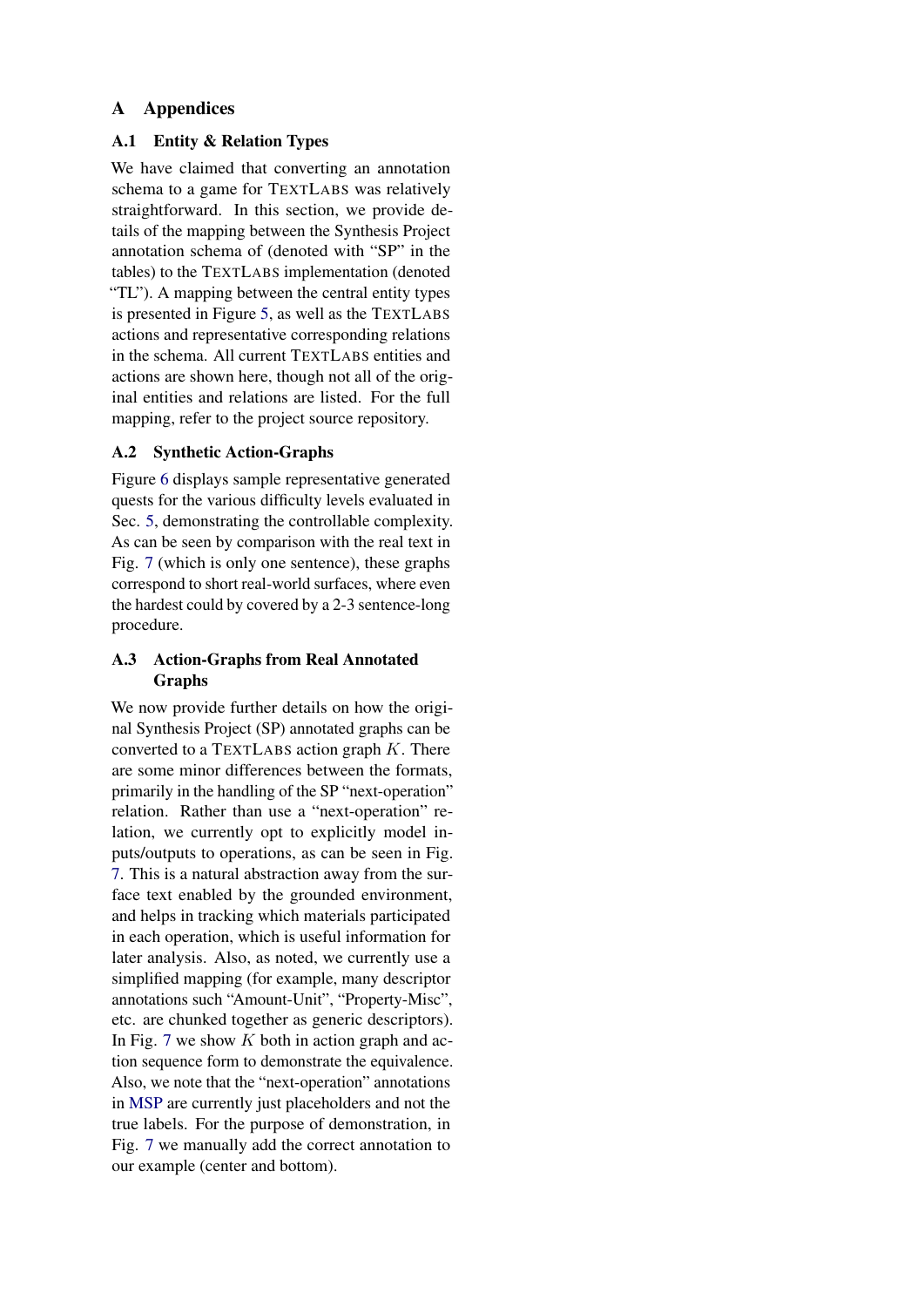## A Appendices

## <span id="page-6-0"></span>A.1 Entity & Relation Types

We have claimed that converting an annotation schema to a game for TEXTLABS was relatively straightforward. In this section, we provide details of the mapping between the Synthesis Project annotation schema of (denoted with "SP" in the tables) to the TEXTLABS implementation (denoted "TL"). A mapping between the central entity types is presented in Figure [5,](#page-7-0) as well as the TEXTLABS actions and representative corresponding relations in the schema. All current TEXTLABS entities and actions are shown here, though not all of the original entities and relations are listed. For the full mapping, refer to the project source repository.

## <span id="page-6-1"></span>A.2 Synthetic Action-Graphs

Figure [6](#page-8-0) displays sample representative generated quests for the various difficulty levels evaluated in Sec. [5,](#page-3-2) demonstrating the controllable complexity. As can be seen by comparison with the real text in Fig. [7](#page-9-0) (which is only one sentence), these graphs correspond to short real-world surfaces, where even the hardest could by covered by a 2-3 sentence-long procedure.

## <span id="page-6-2"></span>A.3 Action-Graphs from Real Annotated Graphs

We now provide further details on how the original Synthesis Project (SP) annotated graphs can be converted to a TEXTLABS action graph  $K$ . There are some minor differences between the formats, primarily in the handling of the SP "next-operation" relation. Rather than use a "next-operation" relation, we currently opt to explicitly model inputs/outputs to operations, as can be seen in Fig. [7.](#page-9-0) This is a natural abstraction away from the surface text enabled by the grounded environment, and helps in tracking which materials participated in each operation, which is useful information for later analysis. Also, as noted, we currently use a simplified mapping (for example, many descriptor annotations such "Amount-Unit", "Property-Misc", etc. are chunked together as generic descriptors). In Fig. [7](#page-9-0) we show  $K$  both in action graph and action sequence form to demonstrate the equivalence. Also, we note that the "next-operation" annotations in [MSP](#page-5-17) are currently just placeholders and not the true labels. For the purpose of demonstration, in Fig. [7](#page-9-0) we manually add the correct annotation to our example (center and bottom).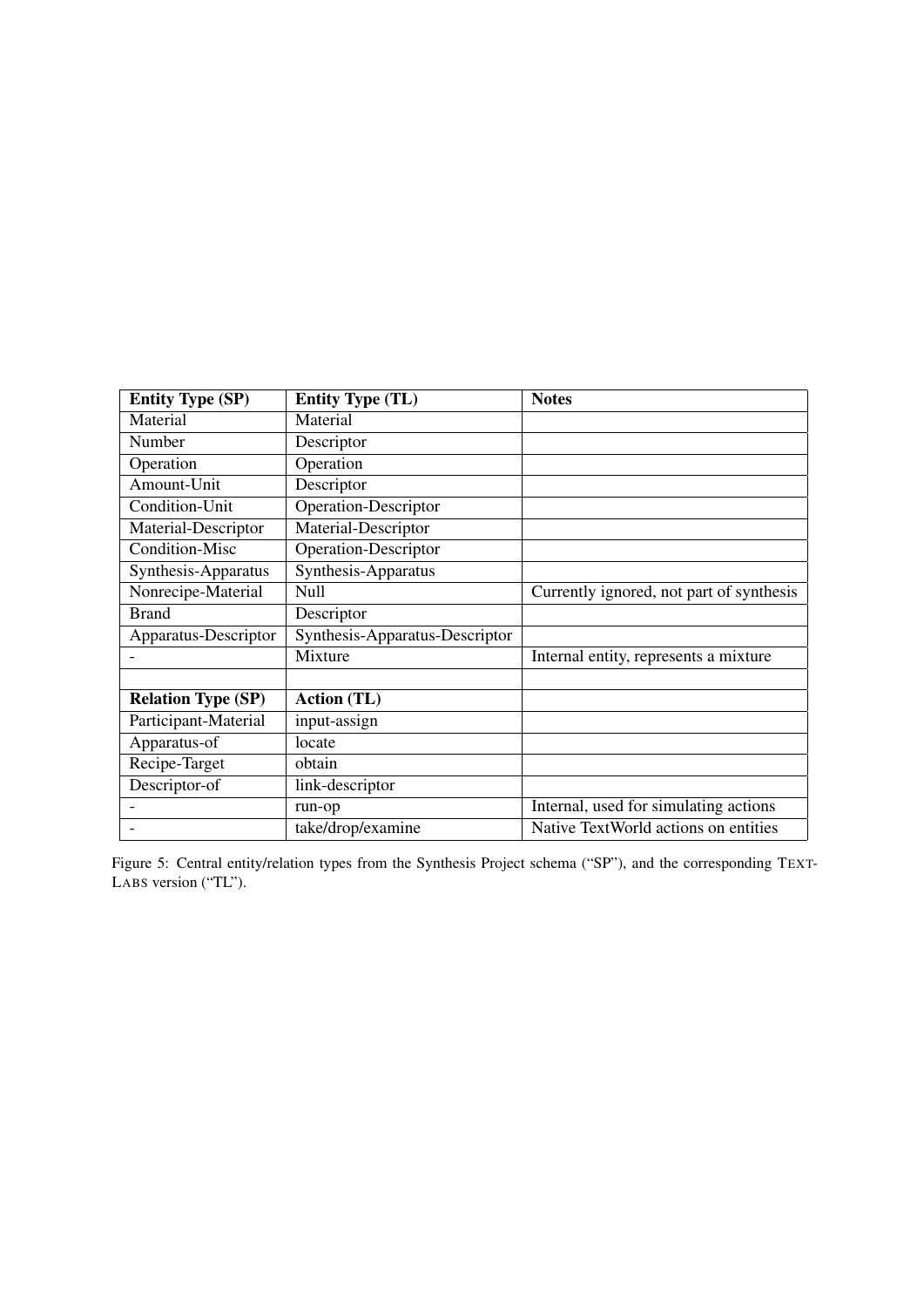<span id="page-7-0"></span>

| <b>Entity Type (SP)</b>   | <b>Entity Type (TL)</b>        | <b>Notes</b>                             |
|---------------------------|--------------------------------|------------------------------------------|
| Material                  | Material                       |                                          |
| Number                    | Descriptor                     |                                          |
| Operation                 | Operation                      |                                          |
| Amount-Unit               | Descriptor                     |                                          |
| Condition-Unit            | Operation-Descriptor           |                                          |
| Material-Descriptor       | Material-Descriptor            |                                          |
| Condition-Misc            | Operation-Descriptor           |                                          |
| Synthesis-Apparatus       | Synthesis-Apparatus            |                                          |
| Nonrecipe-Material        | Null                           | Currently ignored, not part of synthesis |
| <b>Brand</b>              | Descriptor                     |                                          |
| Apparatus-Descriptor      | Synthesis-Apparatus-Descriptor |                                          |
|                           | Mixture                        | Internal entity, represents a mixture    |
|                           |                                |                                          |
| <b>Relation Type (SP)</b> | <b>Action (TL)</b>             |                                          |
| Participant-Material      | input-assign                   |                                          |
| Apparatus-of              | locate                         |                                          |
| Recipe-Target             | obtain                         |                                          |
| Descriptor-of             | link-descriptor                |                                          |
|                           | run-op                         | Internal, used for simulating actions    |
|                           | take/drop/examine              | Native TextWorld actions on entities     |

Figure 5: Central entity/relation types from the Synthesis Project schema ("SP"), and the corresponding TEXT-LABS version ("TL").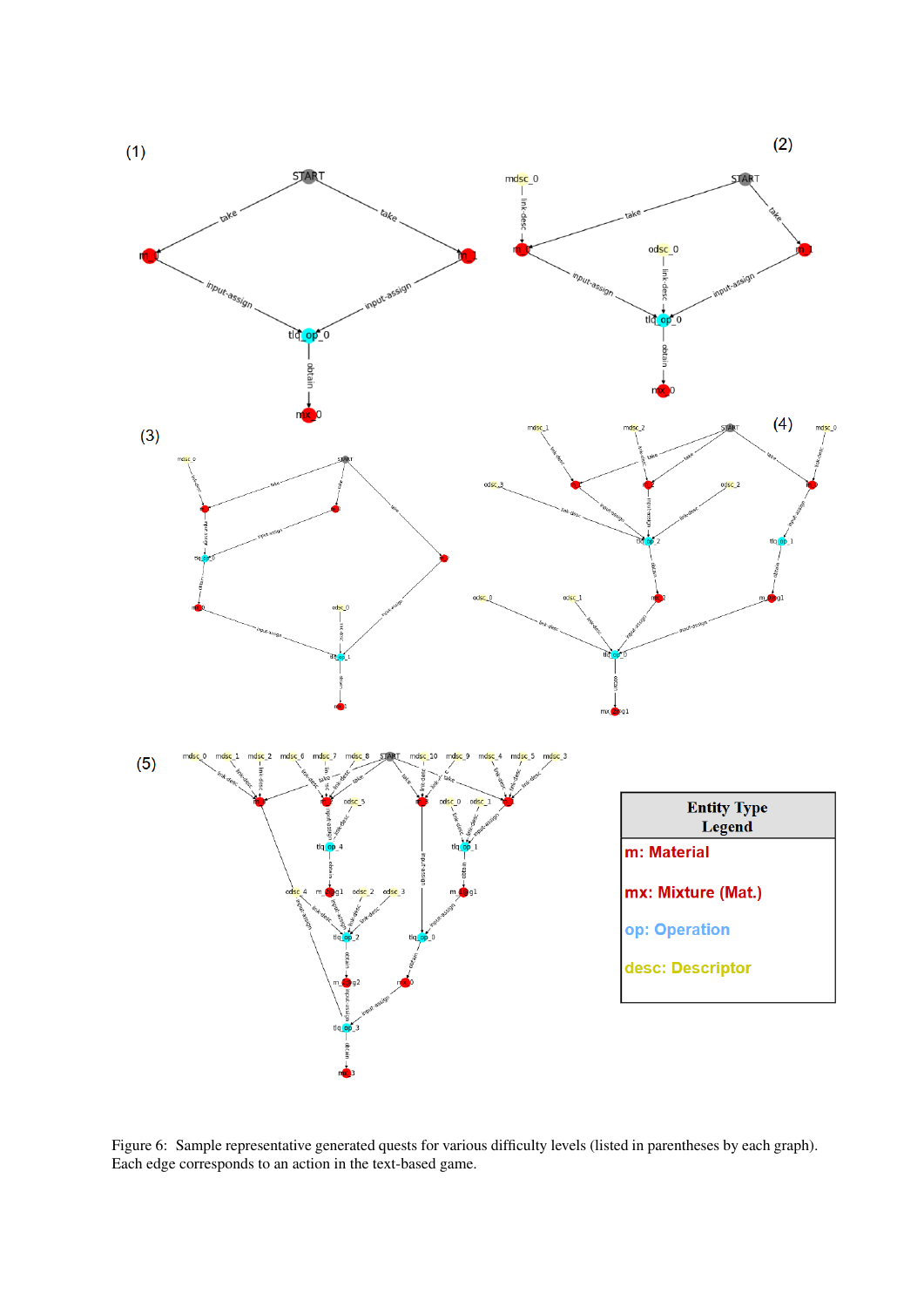<span id="page-8-0"></span>

Figure 6: Sample representative generated quests for various difficulty levels (listed in parentheses by each graph). Each edge corresponds to an action in the text-based game.